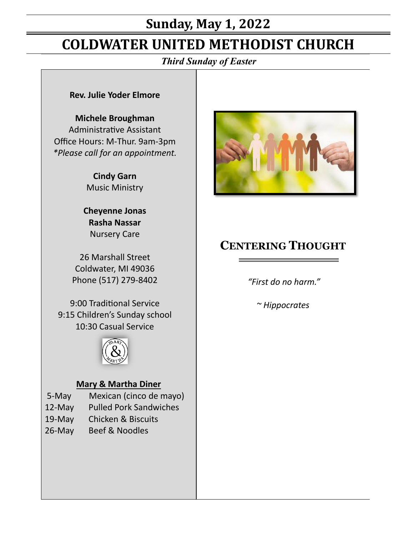# **Sunday, May 1, 2022**

# **COLDWATER UNITED METHODIST CHURCH**

*Third Sunday of Easter*

#### **Rev. Julie Yoder Elmore**

#### **Michele Broughman**

Administrative Assistant Office Hours: M-Thur. 9am-3pm *\*Please call for an appointment.*

> **Cindy Garn** Music Ministry

**Cheyenne Jonas Rasha Nassar** Nursery Care

26 Marshall Street Coldwater, MI 49036 Phone (517) 279-8402

9:00 Traditional Service 9:15 Children's Sunday school 10:30 Casual Service



#### **Mary & Martha Diner**

- 5-May Mexican (cinco de mayo)
- 12-May Pulled Pork Sandwiches
- 19-May Chicken & Biscuits
- 26-May Beef & Noodles



# **CENTERING THOUGHT**

*"First do no harm."* 

*~ Hippocrates*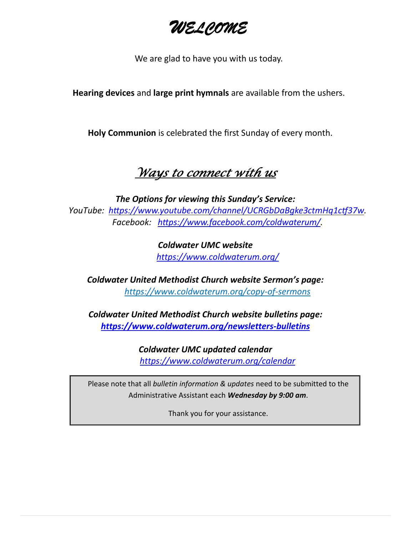*WELCOME*

We are glad to have you with us today.

**Hearing devices** and **large print hymnals** are available from the ushers.

**Holy Communion** is celebrated the first Sunday of every month.

# *Ways to connect with us*

*The Options for viewing this Sunday's Service: YouTube: https://www.youtube.com/channel/UCRGbDaBgke3ctmHq1ctf37w. Facebook: https://www.facebook.com/coldwaterum/.*

> *Coldwater UMC website https://www.coldwaterum.org/*

*Coldwater United Methodist Church website Sermon's page: <https://www.coldwaterum.org/copy-of-sermons>*

*Coldwater United Methodist Church website bulletins page: <https://www.coldwaterum.org/newsletters-bulletins>*

> *Coldwater UMC updated calendar https://www.coldwaterum.org/calendar*

Please note that all *bulletin information & updates* need to be submitted to the Administrative Assistant each *Wednesday by 9:00 am*.

Thank you for your assistance.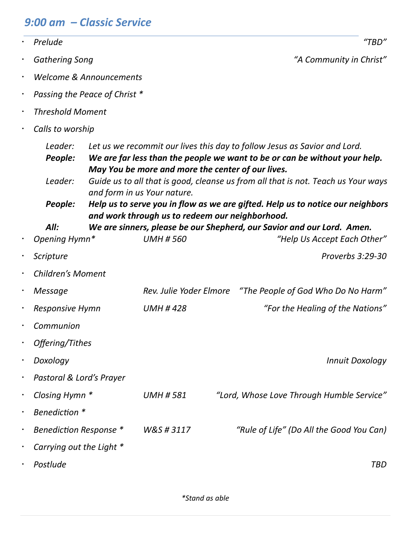# *9:00 am – Classic Service*

|           | Prelude                       |  |                                                                                  | "TBD"                                                                                                                                                                                                                                        |
|-----------|-------------------------------|--|----------------------------------------------------------------------------------|----------------------------------------------------------------------------------------------------------------------------------------------------------------------------------------------------------------------------------------------|
| $\bullet$ | <b>Gathering Song</b>         |  |                                                                                  | "A Community in Christ"                                                                                                                                                                                                                      |
| $\bullet$ | Welcome & Announcements       |  |                                                                                  |                                                                                                                                                                                                                                              |
| $\bullet$ | Passing the Peace of Christ * |  |                                                                                  |                                                                                                                                                                                                                                              |
| $\bullet$ | <b>Threshold Moment</b>       |  |                                                                                  |                                                                                                                                                                                                                                              |
| $\bullet$ | Calls to worship              |  |                                                                                  |                                                                                                                                                                                                                                              |
|           | Leader:<br>People:<br>Leader: |  | May You be more and more the center of our lives.<br>and form in us Your nature. | Let us we recommit our lives this day to follow Jesus as Savior and Lord.<br>We are far less than the people we want to be or can be without your help.<br>Guide us to all that is good, cleanse us from all that is not. Teach us Your ways |
|           | People:                       |  |                                                                                  | Help us to serve you in flow as we are gifted. Help us to notice our neighbors                                                                                                                                                               |
| $\bullet$ | All:<br>Opening Hymn*         |  | and work through us to redeem our neighborhood.<br><b>UMH #560</b>               | We are sinners, please be our Shepherd, our Savior and our Lord. Amen.<br>"Help Us Accept Each Other"                                                                                                                                        |
| $\bullet$ | Scripture                     |  |                                                                                  | Proverbs 3:29-30                                                                                                                                                                                                                             |
|           | <b>Children's Moment</b>      |  |                                                                                  |                                                                                                                                                                                                                                              |
| $\bullet$ | Message                       |  | Rev. Julie Yoder Elmore                                                          | "The People of God Who Do No Harm"                                                                                                                                                                                                           |
| $\bullet$ | <b>Responsive Hymn</b>        |  | <b>UMH #428</b>                                                                  | "For the Healing of the Nations"                                                                                                                                                                                                             |
|           | Communion                     |  |                                                                                  |                                                                                                                                                                                                                                              |
|           | Offering/Tithes               |  |                                                                                  |                                                                                                                                                                                                                                              |
|           | Doxology                      |  |                                                                                  | <b>Innuit Doxology</b>                                                                                                                                                                                                                       |
| $\bullet$ | Pastoral & Lord's Prayer      |  |                                                                                  |                                                                                                                                                                                                                                              |
| $\bullet$ | Closing Hymn *                |  | <b>UMH #581</b>                                                                  | "Lord, Whose Love Through Humble Service"                                                                                                                                                                                                    |
| $\bullet$ | Benediction *                 |  |                                                                                  |                                                                                                                                                                                                                                              |
| $\bullet$ | Benediction Response *        |  | W&S#3117                                                                         | "Rule of Life" (Do All the Good You Can)                                                                                                                                                                                                     |
|           | Carrying out the Light *      |  |                                                                                  |                                                                                                                                                                                                                                              |
|           | Postlude                      |  |                                                                                  | <b>TBD</b>                                                                                                                                                                                                                                   |

*\*Stand as able*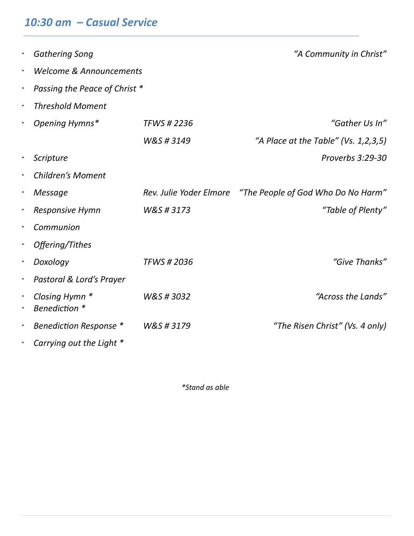# *10:30 am – Casual Service*

|                         | <b>Gathering Song</b>           |                         | "A Community in Christ"              |
|-------------------------|---------------------------------|-------------------------|--------------------------------------|
| Welcome & Announcements |                                 |                         |                                      |
| $\bullet$               | Passing the Peace of Christ *   |                         |                                      |
|                         | <b>Threshold Moment</b>         |                         |                                      |
|                         | Opening Hymns*                  | <b>TFWS #2236</b>       | "Gather Us In"                       |
|                         |                                 | W&S#3149                | "A Place at the Table" (Vs. 1,2,3,5) |
|                         | Scripture                       |                         | Proverbs 3:29-30                     |
|                         | <b>Children's Moment</b>        |                         |                                      |
|                         | Message                         | Rev. Julie Yoder Elmore | "The People of God Who Do No Harm"   |
|                         | <b>Responsive Hymn</b>          | W&S#3173                | "Table of Plenty"                    |
|                         | Communion                       |                         |                                      |
|                         | Offering/Tithes                 |                         |                                      |
|                         | Doxology                        | <b>TFWS #2036</b>       | "Give Thanks"                        |
|                         | Pastoral & Lord's Prayer        |                         |                                      |
|                         | Closing Hymn *<br>Benediction * | W&S#3032                | "Across the Lands"                   |
|                         | Benediction Response *          | W&S#3179                | "The Risen Christ" (Vs. 4 only)      |
|                         | Carrying out the Light *        |                         |                                      |

*\*Stand as able*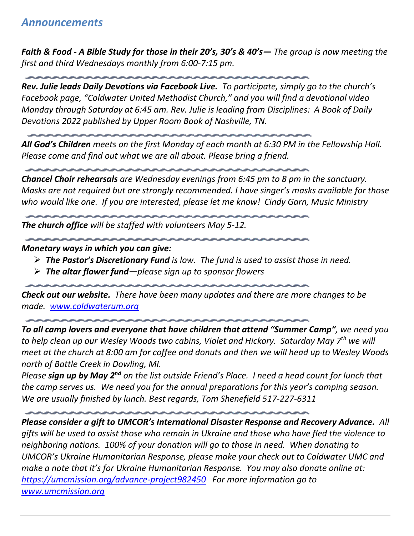*Faith & Food - A Bible Study for those in their 20's, 30's & 40's— The group is now meeting the first and third Wednesdays monthly from 6:00-7:15 pm.*

*Rev. Julie leads Daily Devotions via Facebook Live. To participate, simply go to the church's Facebook page, "Coldwater United Methodist Church," and you will find a devotional video Monday through Saturday at 6:45 am. Rev. Julie is leading from Disciplines: A Book of Daily Devotions 2022 published by Upper Room Book of Nashville, TN.*

*All God's Children meets on the first Monday of each month at 6:30 PM in the Fellowship Hall. Please come and find out what we are all about. Please bring a friend.*

*Chancel Choir rehearsals are Wednesday evenings from 6:45 pm to 8 pm in the sanctuary. Masks are not required but are strongly recommended. I have singer's masks available for those who would like one. If you are interested, please let me know! Cindy Garn, Music Ministry*

*The church office will be staffed with volunteers May 5-12.* 

#### *Monetary ways in which you can give:*

- ➢ *The Pastor's Discretionary Fund is low. The fund is used to assist those in need.*
- ➢ *The altar flower fund—please sign up to sponsor flowers*

*Check out our website. There have been many updates and there are more changes to be made. [www.coldwaterum.org](http://www.coldwaterum.org/)*

*To all camp lovers and everyone that have children that attend "Summer Camp", we need you to help clean up our Wesley Woods two cabins, Violet and Hickory. Saturday May 7th we will meet at the church at 8:00 am for coffee and donuts and then we will head up to Wesley Woods north of Battle Creek in Dowling, MI.*

*Please sign up by May 2nd on the list outside Friend's Place. I need a head count for lunch that the camp serves us. We need you for the annual preparations for this year's camping season. We are usually finished by lunch. Best regards, Tom Shenefield 517-227-6311*

*Please consider a gift to UMCOR's International Disaster Response and Recovery Advance. All gifts will be used to assist those who remain in Ukraine and those who have fled the violence to neighboring nations. 100% of your donation will go to those in need. When donating to UMCOR's Ukraine Humanitarian Response, please make your check out to Coldwater UMC and make a note that it's for Ukraine Humanitarian Response. You may also donate online at: <https://umcmission.org/advance-project982450>For more information go to [www.umcmission.org](http://www.umcmission.org/)*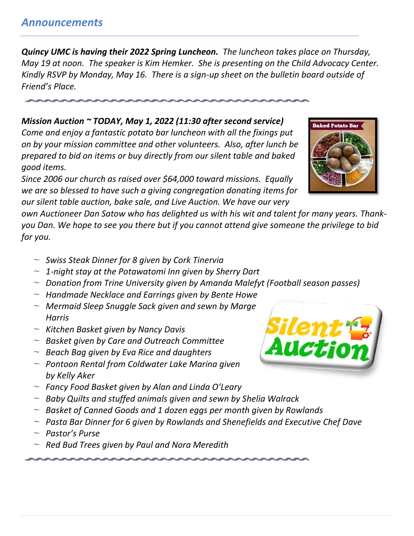# *Announcements*

*Quincy UMC is having their 2022 Spring Luncheon. The luncheon takes place on Thursday, May 19 at noon. The speaker is Kim Hemker. She is presenting on the Child Advocacy Center. Kindly RSVP by Monday, May 16. There is a sign-up sheet on the bulletin board outside of Friend's Place.*

# *Mission Auction ~ TODAY, May 1, 2022 (11:30 after second service)*

*Come and enjoy a fantastic potato bar luncheon with all the fixings put on by your mission committee and other volunteers. Also, after lunch be prepared to bid on items or buy directly from our silent table and baked good items.*

*Since 2006 our church as raised over \$64,000 toward missions. Equally we are so blessed to have such a giving congregation donating items for our silent table auction, bake sale, and Live Auction. We have our very* 

*own Auctioneer Dan Satow who has delighted us with his wit and talent for many years. Thankyou Dan. We hope to see you there but if you cannot attend give someone the privilege to bid for you.*

- ~ *Swiss Steak Dinner for 8 given by Cork Tinervia*
- ~ *1-night stay at the Potawatomi Inn given by Sherry Dart*
- ~ *Donation from Trine University given by Amanda Malefyt (Football season passes)*
- ~ *Handmade Necklace and Earrings given by Bente Howe*
- ~ *Mermaid Sleep Snuggle Sack given and sewn by Marge Harris*
- ~ *Kitchen Basket given by Nancy Davis*
- ~ *Basket given by Care and Outreach Committee*
- ~ *Beach Bag given by Eva Rice and daughters*
- ~ *Pontoon Rental from Coldwater Lake Marina given by Kelly Aker*
- ~ *Fancy Food Basket given by Alan and Linda O'Leary*
- ~ *Baby Quilts and stuffed animals given and sewn by Shelia Walrack*
- ~ *Basket of Canned Goods and 1 dozen eggs per month given by Rowlands*
- ~ *Pasta Bar Dinner for 6 given by Rowlands and Shenefields and Executive Chef Dave*
- ~ *Pastor's Purse*
- ~ *Red Bud Trees given by Paul and Nora Meredith*



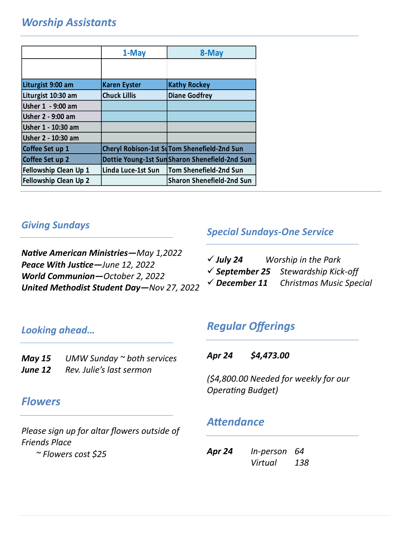# *Worship Assistants*

|                              | 1-May               | 8-May                                         |
|------------------------------|---------------------|-----------------------------------------------|
|                              |                     |                                               |
| Liturgist 9:00 am            | <b>Karen Eyster</b> | <b>Kathy Rockey</b>                           |
| Liturgist 10:30 am           | <b>Chuck Lillis</b> | <b>Diane Godfrey</b>                          |
| Usher 1 - 9:00 am            |                     |                                               |
| Usher 2 - 9:00 am            |                     |                                               |
| Usher 1 - 10:30 am           |                     |                                               |
| Usher 2 - 10:30 am           |                     |                                               |
| Coffee Set up 1              |                     | Cheryl Robison-1st SuTom Shenefield-2nd Sun   |
| Coffee Set up 2              |                     | Dottie Young-1st SunSharon Shenefield-2nd Sun |
| Fellowship Clean Up 1        | Linda Luce-1st Sun  | Tom Shenefield-2nd Sun                        |
| <b>Fellowship Clean Up 2</b> |                     | Sharon Shenefield-2nd Sun                     |

### *Giving Sundays*

*Native American Ministries—May 1,2022 Peace With Justice—June 12, 2022 World Communion—October 2, 2022 United Methodist Student Day—Nov 27, 2022*

#### *Special Sundays-One Service*

| $\checkmark$ July 24     | Worship in the Park                            |
|--------------------------|------------------------------------------------|
|                          | $\checkmark$ September 25 Stewardship Kick-off |
| $\checkmark$ December 11 | <b>Christmas Music Special</b>                 |

#### *Looking ahead…*

*May 15 UMW Sunday ~ both services June 12 Rev. Julie's last sermon*

# *Regular Offerings*

*Apr 24 \$4,473.00*

*(\$4,800.00 Needed for weekly for our Operating Budget)*

### *Flowers*

*Please sign up for altar flowers outside of Friends Place*

*~ Flowers cost \$25*

# *Attendance*

| Apr 24 | In-person 64 |     |
|--------|--------------|-----|
|        | Virtual      | 138 |